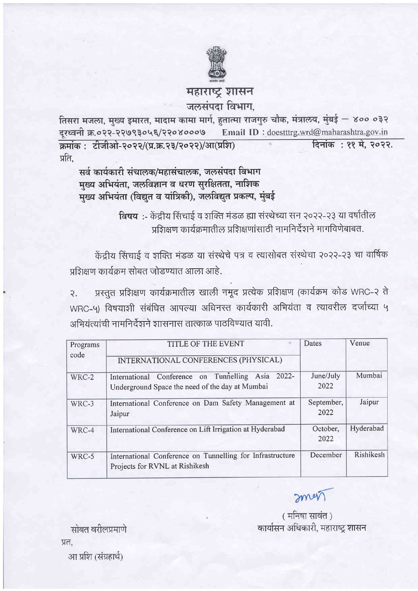

## महाराष्ट्र शासन जलसंपदा विभाग,

तिसरा मजला, मुख्य इमारत, मादाम कामा मार्ग, हुतात्मा राजगुरु चौक, मंत्रालय, मुंबई — ४०० ०३२ दूरध्वनी क्र.०२२-२२७९३०५६/२२०४०००७ Email ID: doestttrg.wrd@maharashtra.gov.in क्रमांक: टीजीओ-२०२२/(प्र.क्र.२३/२०२२)/आ(प्रशि) दिनांक: ११ मे. २०२२. प्रति.

सर्व कार्यकारी संचालक/महासंचालक, जलसंपदा विभाग मुख्य अभियंता, जलविज्ञान व धरण सुरक्षितता, नाशिक मख्य अभियंता (विद्युत व यांत्रिकी), जलविद्युत प्रकल्प, मुंबई

> विषय :- केंद्रीय सिंचाई व शक्ति मंडळ ह्या संस्थेच्या सन २०२२-२३ या वर्षातील प्रतिक्षण कार्यक्रमातील प्रशिक्षणांसाठी नामनिर्देशने मागविणेबाबत.

केंद्रीय सिंचाई व शक्ति मंडळ या संस्थेचे पत्र व त्यासोबत संस्थेचा २०२२-२३ चा वार्षिक प्रशिक्षण कार्यक्रम सोबत जोडण्यात आला आहे.

प्रस्तुत प्रशिक्षण कार्यक्रमातील खाली नमूद प्रत्येक प्रशिक्षण (कार्यक्रम कोड WRC-२ ते  $\mathcal{R}$ . WRC-५) विषयाशी संबंधित आपल्या अधिनस्त कार्यकारी अभियंता व त्यावरील दर्जाच्या ५ अभियंत्यांची नामनिर्देशने शासनास तात्काळ पाठविण्यात यावी.

| Programs<br>code | TITLE OF THE EVENT<br>INTERNATIONAL CONFERENCES (PHYSICAL)                                           | Dates              | Venue     |
|------------------|------------------------------------------------------------------------------------------------------|--------------------|-----------|
| WRC-2            | International Conference on Tunnelling Asia 2022-<br>Underground Space the need of the day at Mumbai | June/July<br>2022  | Mumbai    |
| WRC-3            | International Conference on Dam Safety Management at<br>Jaipur                                       | September,<br>2022 | Jaipur    |
| WRC-4            | International Conference on Lift Irrigation at Hyderabad                                             | October,<br>2022   | Hyderabad |
| WRC-5            | International Conference on Tunnelling for Infrastructure<br>Projects for RVNL at Rishikesh          | December           | Rishikesh |

men

(मनिषा सावंत) कार्यासन अधिकारी, महाराष्ट्र शासन

सोबत वरीलप्रमाणे प्रत. आ प्रशि (संग्रहार्थ)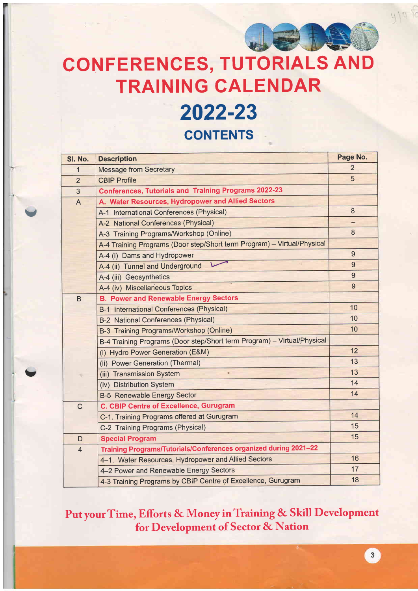

 $419.6$ 

## **CONFERENCES, TUTORIALS AND** TRAINING CALENDAR

# 2022-23

**CONTENTS** 

Y

U

| SI. No.        | <b>Description</b>                                                      | Page No.       |
|----------------|-------------------------------------------------------------------------|----------------|
| 1              | <b>Message from Secretary</b>                                           | $\overline{2}$ |
| $\overline{2}$ | <b>CBIP Profile</b>                                                     | 5              |
| 3              | <b>Conferences, Tutorials and Training Programs 2022-23</b>             |                |
| $\overline{A}$ | A. Water Resources, Hydropower and Allied Sectors                       |                |
|                | A-1 International Conferences (Physical)                                | 8              |
|                | A-2 National Conferences (Physical)                                     |                |
|                | A-3 Training Programs/Workshop (Online)                                 | 8              |
|                | A-4 Training Programs (Door step/Short term Program) - Virtual/Physical |                |
|                | A-4 (i) Dams and Hydropower                                             | $\overline{9}$ |
|                | A-4 (ii) Tunnel and Underground                                         | $\overline{9}$ |
|                | A-4 (iii) Geosynthetics                                                 | 9              |
|                | A-4 (iv) Miscellaneous Topics                                           | 9              |
| $\mathsf B$    | <b>B. Power and Renewable Energy Sectors</b>                            |                |
|                | B-1 International Conferences (Physical)                                | 10             |
|                | <b>B-2 National Conferences (Physical)</b>                              | 10             |
|                | B-3 Training Programs/Workshop (Online)                                 | 10             |
|                | B-4 Training Programs (Door step/Short term Program) - Virtual/Physical |                |
|                | (i) Hydro Power Generation (E&M)                                        | 12             |
|                | (ii) Power Generation (Thermal)                                         | 13             |
|                | (iii) Transmission System<br>۰                                          | 13             |
|                | (iv) Distribution System                                                | 14             |
|                | <b>B-5 Renewable Energy Sector</b>                                      | 14             |
| $\mathsf C$    | <b>C. CBIP Centre of Excellence, Gurugram</b>                           |                |
|                | C-1. Training Programs offered at Gurugram                              | 14             |
|                | C-2 Training Programs (Physical)                                        | 15             |
| D              | <b>Special Program</b>                                                  | 15             |
| $\overline{4}$ | Training Programs/Tutorials/Conferences organized during 2021-22        |                |
|                | 4-1. Water Resources, Hydropower and Allied Sectors                     | 16             |
|                | 4-2 Power and Renewable Energy Sectors                                  | 17             |
|                | 4-3 Training Programs by CBIP Centre of Excellence, Gurugram            | 18             |

Put your Time, Efforts & Money in Training & Skill Development for Development of Sector & Nation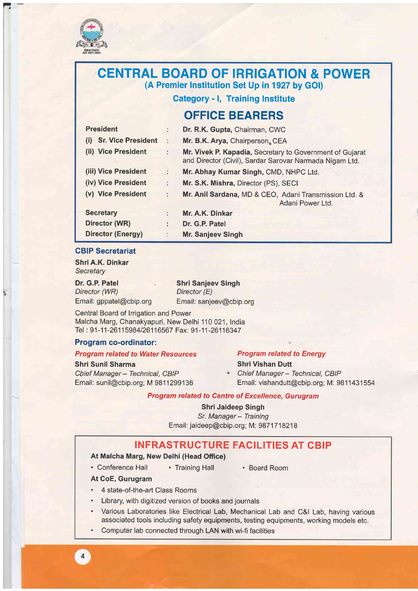

 $\overline{1}$ 

## CENTRAL BOARD OF IRRIGATION & POWER (A Premier lnstitution Set Up in 1927 by GOI)

Category - l, Training Institute

## OFFICE BEARERS

| <b>President</b>                 | ÷.       | Dr. R.K. Gupta, Chairman, CWC                                                                                       |
|----------------------------------|----------|---------------------------------------------------------------------------------------------------------------------|
| <b>Sr. Vice President</b><br>(i) | $\sim$ 1 | Mr. B.K. Arya, Chairperson, CEA                                                                                     |
| (ii) Vice President              | $\sim$   | Mr. Vivek P. Kapadia, Secretary to Government of Gujarat<br>and Director (Civil), Sardar Sarovar Narmada Nigam Ltd. |
| (iii) Vice President             | ÷        | Mr. Abhay Kumar Singh, CMD, NHPC Ltd.                                                                               |
| (iv) Vice President              | ÷.       | Mr. S.K. Mishra, Director (PS), SECI                                                                                |
| (v) Vice President               |          | Mr. Anil Sardana, MD & CEO, Adani Transmission Ltd. &<br>Adani Power Ltd.                                           |
| <b>Secretary</b>                 | ÷        | Mr. A.K. Dinkar                                                                                                     |
| Director (WR)                    | ÷.       | Dr. G.P. Patel                                                                                                      |
| <b>Director (Energy)</b>         |          | <b>Mr. Sanjeev Singh</b>                                                                                            |

#### CBIP Secretariat

Shri A.K. Dinkar **Secretary** 

Dr. G.P. Patel Director (WR) Email: gppatel@cbip.org Email: sanjeev@cbip.org

Shri Sanjeev Singh Director (E)

Central Board of lrigation and Power Malcha Marg, Chanakyapuri, New Delhi 110 021, India Tel: 91-11-26115984/26116567 Fax: 91-11-26116347

#### Program co-ordinator:

#### Program related to Water Resources

Shri Sunil Sharma

Chief Manager - Technical, CBIP Email: sunil@cbip.org; M 9811299136

## Program related to Energy

Shri Vishan Dutt

• Chief Manager - Technical, CBIP Email: vishandutt@cbip.org; M: 9811431554

#### Program related to Centre of Excellence, Gurugram

Shri Jaideep Singh Sr. Manager - Training Email: jaideep@cbip.org; M: 9871718218

### INFRASTRUCTURE FACILITIES AT CBIP

#### At Malcha Marg, New Delhi (Head Office)

• Conference Hall . Training Hall . Board Room

At CoE, Gurugram

 $\overline{4}$ 

- 4 state-of-the-art Class Rooms
- . Library, with digitized version of books and journals
- . Various Laboratories like Electrical Lab, Mechanical Lab and C&l Lab, having various associated tools including safety equipments, testing equipments, working models etc.
- . Computer lab connected through LAN with wi-fi facilities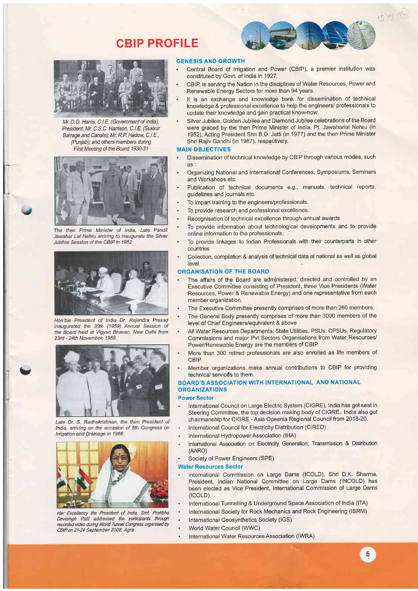## CBIP PROFILE



Mr. D.G. Harris, C.I.E. (Government of India), President: Mr. C.S.C. Harrison, C.I.E. (Sukkur Barrage and Canals); Mr. R.P. Hadow, C.I.E., (Punjab); and others members duing First Meeting of the Board 1930-31



The then Prime Minister of lndia, Late Pandit Jawahar Lal Nehru arriving to inaugurate the Silver Jubilee Session of the CBIP in 1952



Hon'ble President of lndia Dr. Rajendra Prasad inaugurated the 30th (1959) Annual Sesslon of the Board held at Vigyan Bhavan, New Delhi from 23rd - 24th November, 1959.



 $\overline{\phantom{0}}$ 

Late Dr. S. Radhakrishnan, the then President of lndia, arriving on the occasion of 6th Congress on lrrigation and Drainage in 1966



Her Excellency the President of India, Smt, Pratibha Devlsingh Patil addressed the panicipants through recorded ideo dunhg Woid Tunne/ Congress organised by CBIP on 21-24 Seplembet 2008, Agra

#### GENESIS AND GROWTH

. Central Board of lrrigation and Power (CBIP), a premier institution was constituted by Govt. of India in 1927.

10/10-181

- . CBIP, is serving the Nation in the disciplines of Water Resources, Power and Renewable Energy Sectors for more than 94 years.
- It is an exchange and knowledge bank for dissemination of technical knowledge & professional excellence to help the engineers/ professionals to update their knowledge and gain practical know-how
- . Silver Jubilee, Golden Jubilee and Diamond Jubilee celebrations of the Board were graced by the then Prime Minister of India, Pt. Jawaharlal Nehru (in 1952), Acting President Shri B D. Jatti (in 1977) and the then Prime Minister Shri Rajiv Gandhi (in 1987), respectively.

#### MAIN OBJECTIVES

- . Dissemination of technical knowledge by CBIP through various modes, such as
- . Organizing National and International Conferences, Symposiums, Seminars and Workshops etc.
- . Publication of technical documents e.9., manuals, technical reports, guidelines and journals etc.
- . To impart training to the engineers/professionals.
- . To provide research and professional excellence.
- . Recognisation of technical excellence through annual awards
	- . To provide information about technological developments and to provide online information to the professionals
- . To provide linkages to Indian Professionals with their counterparts in other countries
- . Collection, compilation & analysis of technical data at national as well as global level

#### ORGANISATION OF THE BOARD

- The affairs of the Board are administered, directed and controlled by an Executive Committee consisting of President, three Vice Presidents (Water Resources, Power & Renewable Energy) and one representative from each member organization.
- The Executive Committee presently comprises of more than 260 members.
- . The General Body presently comprises of more than 3000 members of the level of Chief Engineers/equivalent & above
- . All Water Resources Departments, State Utilities, PSUs, CPSUS, Regulatory Commissions and major Pvt Sectors Organisations from Water Resources/ Power/Renewable Energy are the members of CBIP
- . More than 300 retired professionals are also enrolled as life members of **CBIP**
- . Member organizations make annual contributions to CBIP for providing technical servic€s to them.

#### BOARD'S ASSOCIATION WITH INTERNATIONAL AND NATIONAL ORGANIZATIONS

#### **Power Sector**

- International Council on Large Electric System (CIGRE), India has got seat in Steering Committee, the top decision making body of CIGRE. India also got chairmanship for CIGRE - Asia Oceania Regional Council from 2018-20.
- International Council for Electricity Distribution (CIRED)
- International Hydropower Association (lHA)
- International Association on Electricity Generation, Transmission & Distribution (AARo)
- . Society of Power Engineers (SPE)

#### Water Resources Sector

- . International Commission on Large Dams (ICOLD), Shri D K. Sharma, President, Indian National Committee on Large Dams (INCOLD) has been elected as Vice President, International Commission of Large Dams  $(ICOLD)$
- . International Tunnelling & Underground Space Association of India (lTA)
- . International Society for Rock Mechanics and Rock Engineering (ISRM)
- . International Geosynthetics Society (lGS)
- . World Water Council (WWC)
	- International Water Resources Association (IWRA)

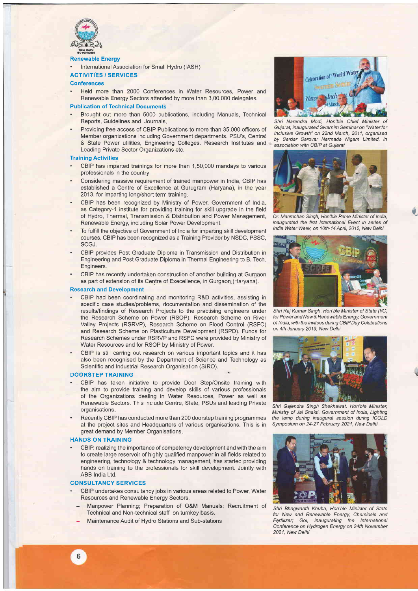

#### Renewable Energy

. International Association for Small Hydro (IASH)

#### ACTIVITIES / SERVICES

#### **Conferences**

. Held more than 2000 Conferences in Water Resources, Power and Renewable Energy Sectors attended by more than 3,00,000 delegates.

#### Publication of Technical Documents

- . Brought out more than 5000 publications, including Manuals, Technical Reports, Guidelines and Journals.
- . Providing free access of CBIP Publications to more than 35,000 officers of Member organizations including Government departments. PSU's, Central & State Power utilities, Engineering Colleges. Research Institutes and Leading Private Sector Organizations etc.

#### Training Activities

- . CBIP has imparted trainings for more than 1,50,000 mandays to various professionals in the country
- . Considering massive requirement of trained manpower in India, CBIP has established a Centre of Excellence at Gurugram (Haryana), in the year 2013, for imparting long/short term training
- . CBIP has been recognized by Ministry of Power, Government of India, as Category-1 institute for providing training for skill upgrade in the field of Hydro, Thermal, Transmission & Distribution and Power Management, Renewable Energy, including Solar Power Development.
- . To fulfill the objective of Government of India for imparting skill development courses, CBIP has been recognized as a Training Provider by NSDC, PSSC, SCGJ.
- . CBIP orovides Post Graduate Dioloma in Transmission and Distribution in Engineering and Post Graduate Diploma in Thermal Engineering to B. Tech Engineers.
- . CBIP has recently undertaken construction of another building at Gurgaon as part of extension of its Centre of Execellence, in Gurgaon (Haryana).

#### Research and Development

- . CBIP had been coordinating and monitoring R&D activities, assisting in specific case studies/problems, documentation and dissemination of the results/findings of Research Projects to the practising engineers under the Research Scheme on Power (RSOP), Research Scheme on River Valley Projects (RSRVP), Research Scheme on Flood Control (RSFC) and Research Scheme on Plasticulture Development (RSPD). Funds for Research Schemes under RSRVP and RSFC were provided by Ministry of Water Resources and for RSOP by Ministry of Power.
- . CBIP is still carring out research on various important topics and it has also been recognised by the Department of Science and Technology as Scientific and Industrial Research Orqanisation (SIRO).

#### DOORSTEP TRAINING

- . CBIP has taken initiative to provide Door Step/Onsite training with the aim to provide training and develop skills of various professionals of the Organizations dealing in Water Resources, Power as well as Renewable Sectors. This include Centre, State, PSUs and leading Private organisations
- . Recently CBIP has conducted more than 200 doorstep training programmes at the project sites and Headquarters of various organisations This is in great demand by Member Organisations

#### HANDS ON TRAINING

. CBIP, realizing the importance of competency development and with the aim to create large reservoir of highly qualified manpower in all fields related to engineering, technology & technology management, has started providing hands on training to the professionals for skill development. Jointly with ABB lndia Ltd.

#### CONSULTANCY SERVICES

- . CBIP undertakes consultancy jobs in various areas related to Power, Water Resources and Renewable Energy Sectors.
	- Manpower Planning; Preparation of O&M Manuals; Recruitment of Technical and Non-technical staff on turnkey basis.
	- Maintenance Audit of Hydro Stations and Sub-stations



Shri Narendra Modi, Hon'ble Chief Minister of Gujarat, in augurated Swarnim Seminar on "Water for lnclusive Growth" on 22nd March, 2011, organised by Sardar Sarovar Narmada Nigam Limited, in association with CBIP at Gujarat



Dr. Manmohan Singh, Hon'ble Prime Minister of lndia, inaugurated the first lnternational Event in series of India Water Week, on 10th-14 April, 2012, New Delhi

t



Shri Raj Kumar Singh, Hon'ble Minister of State (I/C) for Powerand New & Renewable Energy, Government of India; with the invitees during CBIP Day Celebrations on 4th January 2019, New Delhi



Shri Gajendra Singh Shekhawat, Hon'ble Minister, Ministry of Jal Shakti, Government of lndia, Lighting the lamp during inaugural session during ICOLD Symposium on 24-27 February 2021, New Delhi



Shri Bhagwanth Khuba, Hon'ble Minister of State for New and Renewable Energy, Chemicals and Fettilizer; Gol, inaugurating the lnternational Conference on Hydrogen Energy on 24th November 2021, New Delhi